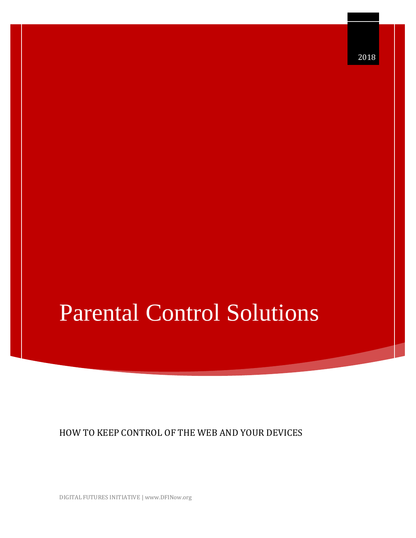HOW TO KEEP CONTROL OF THE WEB AND YOUR DEVICES

DIGITAL FUTURES INITIATIVE | www.DFINow.org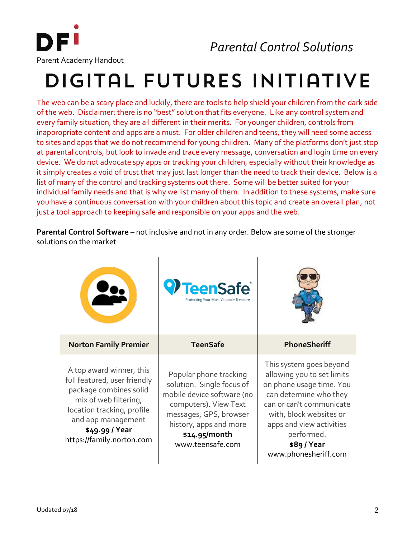

## DIGITAL FUTURES INITIATIVE

The web can be a scary place and luckily, there are tools to help shield your children from the dark side of the web. Disclaimer: there is no "best" solution that fits everyone. Like any control system and every family situation, they are all different in their merits. For younger children, controls from inappropriate content and apps are a must. For older children and teens, they will need some access to sites and apps that we do not recommend for young children. Many of the platforms don't just stop at parental controls, but look to invade and trace every message, conversation and login time on every device. We do not advocate spy apps or tracking your children, especially without their knowledge as it simply creates a void of trust that may just last longer than the need to track their device. Below is a list of many of the control and tracking systems out there. Some will be better suited for your individual family needs and that is why we list many of them. In addition to these systems, make sure you have a continuous conversation with your children about this topic and create an overall plan, not just a tool approach to keeping safe and responsible on your apps and the web.

**Parental Control Software** – not inclusive and not in any order. Below are some of the stronger solutions on the market

|                                                                                                                                                                                                                | TeenSafe <sup>®</sup><br>Protecting Your Most Valuable Treasure                                                                                                                                     |                                                                                                                                                                                                                                                   |
|----------------------------------------------------------------------------------------------------------------------------------------------------------------------------------------------------------------|-----------------------------------------------------------------------------------------------------------------------------------------------------------------------------------------------------|---------------------------------------------------------------------------------------------------------------------------------------------------------------------------------------------------------------------------------------------------|
| <b>Norton Family Premier</b>                                                                                                                                                                                   | <b>TeenSafe</b>                                                                                                                                                                                     | PhoneSheriff                                                                                                                                                                                                                                      |
| A top award winner, this<br>full featured, user friendly<br>package combines solid<br>mix of web filtering,<br>location tracking, profile<br>and app management<br>\$49.99 / Year<br>https://family.norton.com | Popular phone tracking<br>solution. Single focus of<br>mobile device software (no<br>computers). View Text<br>messages, GPS, browser<br>history, apps and more<br>\$14.95/month<br>www.teensafe.com | This system goes beyond<br>allowing you to set limits<br>on phone usage time. You<br>can determine who they<br>can or can't communicate<br>with, block websites or<br>apps and view activities<br>performed.<br>\$89/Year<br>www.phonesheriff.com |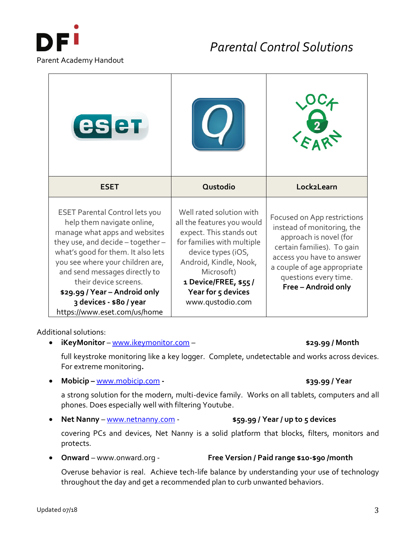

| eser                                                                                                                                                                                                                                                                                                                                                                     |                                                                                                                                                                                                                                                 |                                                                                                                                                                                                                               |
|--------------------------------------------------------------------------------------------------------------------------------------------------------------------------------------------------------------------------------------------------------------------------------------------------------------------------------------------------------------------------|-------------------------------------------------------------------------------------------------------------------------------------------------------------------------------------------------------------------------------------------------|-------------------------------------------------------------------------------------------------------------------------------------------------------------------------------------------------------------------------------|
| <b>ESET</b>                                                                                                                                                                                                                                                                                                                                                              | Qustodio                                                                                                                                                                                                                                        | Lock2Learn                                                                                                                                                                                                                    |
| <b>ESET Parental Control lets you</b><br>help them navigate online,<br>manage what apps and websites<br>they use, and decide - together-<br>what's good for them. It also lets<br>you see where your children are,<br>and send messages directly to<br>their device screens.<br>\$29.99 / Year - Android only<br>3 devices - \$80 / year<br>https://www.eset.com/us/home | Well rated solution with<br>all the features you would<br>expect. This stands out<br>for families with multiple<br>device types (iOS,<br>Android, Kindle, Nook,<br>Microsoft)<br>1 Device/FREE, \$55/<br>Year for 5 devices<br>www.qustodio.com | Focused on App restrictions<br>instead of monitoring, the<br>approach is novel (for<br>certain families). To gain<br>access you have to answer<br>a couple of age appropriate<br>questions every time.<br>Free - Android only |

Additional solutions:

• **iKeyMonitor** – [www.ikeymonitor.com](http://www.ikeymonitor.com/) – **\$29.99 / Month** 

full keystroke monitoring like a key logger. Complete, undetectable and works across devices. For extreme monitoring**.** 

• **Mobicip –** [www.mobicip.com](http://www.mobicip.com/) **- \$39.99 / Year**

a strong solution for the modern, multi-device family. Works on all tablets, computers and all phones. Does especially well with filtering Youtube.

• **Net Nanny** – [www.netnanny.com](http://www.netnanny.com/) - **\$59.99 / Year / up to 5 devices** 

covering PCs and devices, Net Nanny is a solid platform that blocks, filters, monitors and protects.

• **Onward** – www.onward.org - **Free Version / Paid range \$10-\$90 /month**

Overuse behavior is real. Achieve tech-life balance by understanding your use of technology throughout the day and get a recommended plan to curb unwanted behaviors.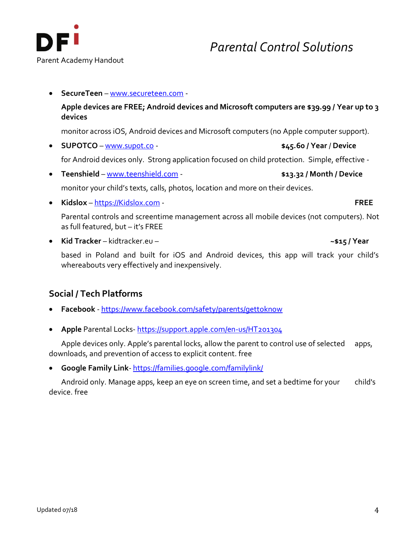

• **SecureTeen** – [www.secureteen.com](http://www.secureteen.com/) -

**Apple devices are FREE; Android devices and Microsoft computers are \$39.99 / Year up to 3 devices**

monitor across iOS, Android devices and Microsoft computers (no Apple computer support).

• **SUPOTCO** – [www.supot.co](http://www.supot.co/) - **\$45.60 / Year** / **Device**

for Android devices only. Strong application focused on child protection. Simple, effective -

- **Teenshield** [www.teenshield.com](http://www.teenshield.com/) **\$13.32 / Month / Device** monitor your child's texts, calls, photos, location and more on their devices.
- **Kidslox** [https://Kidslox.com](https://kidslox.com/) **FREE**

Parental controls and screentime management across all mobile devices (not computers). Not as full featured, but – it's FREE

• **Kid Tracker** – kidtracker.eu – **~\$15 / Year**

based in Poland and built for iOS and Android devices, this app will track your child's whereabouts very effectively and inexpensively.

## **Social / Tech Platforms**

- **Facebook** <https://www.facebook.com/safety/parents/gettoknow>
- **Apple** Parental Locks- <https://support.apple.com/en-us/HT201304>

Apple devices only. Apple's parental locks, allow the parent to control use of selected apps, downloads, and prevention of access to explicit content. free

• **Google Family Link**- <https://families.google.com/familylink/>

Android only. Manage apps, keep an eye on screen time, and set a bedtime for your child's device. free

*Parental Control Solutions*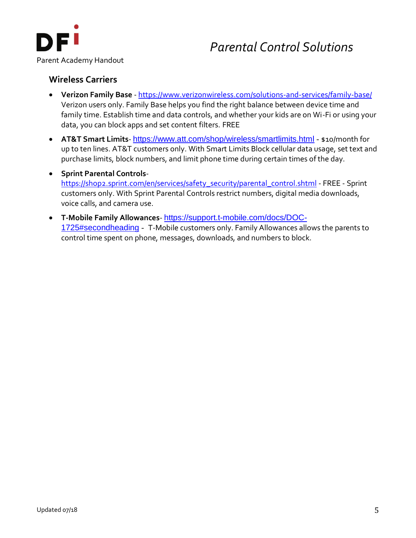

#### **Wireless Carriers**

- **Verizon Family Base** <https://www.verizonwireless.com/solutions-and-services/family-base/> Verizon users only. Family Base helps you find the right balance between device time and family time. Establish time and data controls, and whether your kids are on Wi-Fi or using your data, you can block apps and set content filters. FREE
- **AT&T Smart Limits** <https://www.att.com/shop/wireless/smartlimits.html> \$10/month for up to ten lines. AT&T customers only. With Smart Limits Block cellular data usage, set text and purchase limits, block numbers, and limit phone time during certain times of the day.
- **Sprint Parental Controls**[https://shop2.sprint.com/en/services/safety\\_security/parental\\_control.shtml](https://shop2.sprint.com/en/services/safety_security/parental_control.shtml) - FREE - Sprint customers only. With Sprint Parental Controls restrict numbers, digital media downloads, voice calls, and camera use.
- **T-Mobile Family Allowances** [https://support.t-mobile.com/docs/DOC-](https://support.t-mobile.com/docs/DOC-1725#secondheading)[1725#secondheading](https://support.t-mobile.com/docs/DOC-1725#secondheading) - T-Mobile customers only. Family Allowances allows the parents to control time spent on phone, messages, downloads, and numbers to block.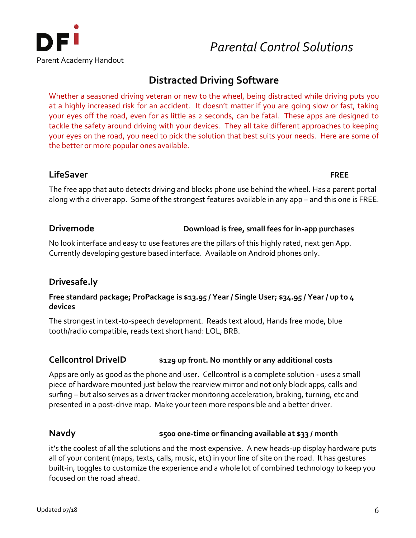

## **Distracted Driving Software**

Whether a seasoned driving veteran or new to the wheel, being distracted while driving puts you at a highly increased risk for an accident. It doesn't matter if you are going slow or fast, taking your eyes off the road, even for as little as 2 seconds, can be fatal. These apps are designed to tackle the safety around driving with your devices. They all take different approaches to keeping your eyes on the road, you need to pick the solution that best suits your needs. Here are some of the better or more popular ones available.

#### **LifeSaver FREE**

The free app that auto detects driving and blocks phone use behind the wheel. Has a parent portal along with a driver app. Some of the strongest features available in any app – and this one is FREE.

#### **Drivemode Download is free, small fees for in-app purchases**

No look interface and easy to use features are the pillars of this highly rated, next gen App. Currently developing gesture based interface. Available on Android phones only.

## **Drivesafe.ly**

#### **Free standard package; ProPackage is \$13.95 / Year / Single User; \$34.95 / Year / up to 4 devices**

The strongest in text-to-speech development. Reads text aloud, Hands free mode, blue tooth/radio compatible, reads text short hand: LOL, BRB.

## **Cellcontrol DriveID \$129 up front. No monthly or any additional costs**

Apps are only as good as the phone and user. Cellcontrol is a complete solution - uses a small piece of hardware mounted just below the rearview mirror and not only block apps, calls and surfing – but also serves as a driver tracker monitoring acceleration, braking, turning, etc and presented in a post-drive map. Make your teen more responsible and a better driver.

## **Navdy \$500 one-time or financing available at \$33 / month**

it's the coolest of all the solutions and the most expensive. A new heads-up display hardware puts all of your content (maps, texts, calls, music, etc) in your line of site on the road. It has gestures built-in, toggles to customize the experience and a whole lot of combined technology to keep you focused on the road ahead.